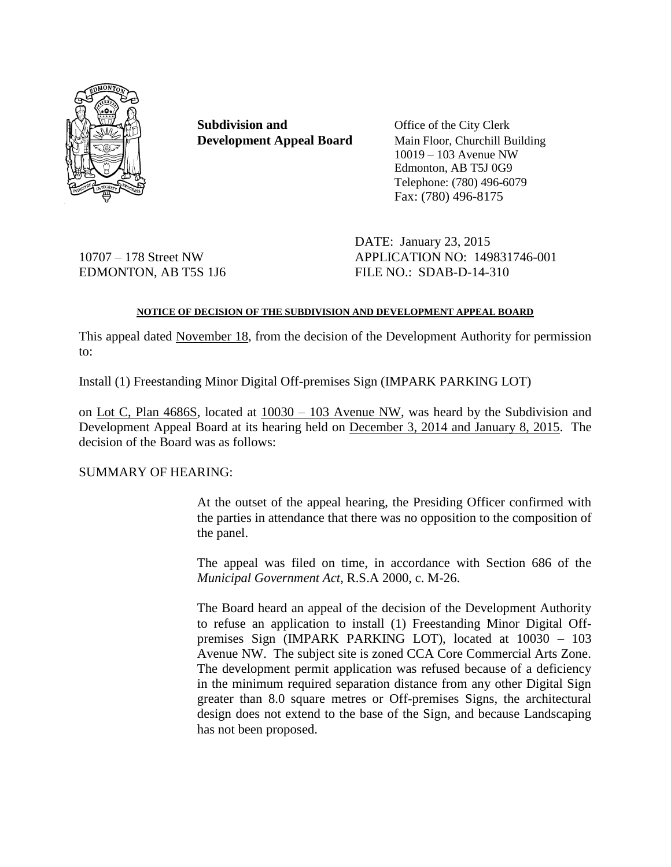

**Subdivision and** Office of the City Clerk

**Development Appeal Board** Main Floor, Churchill Building 10019 – 103 Avenue NW Edmonton, AB T5J 0G9 Telephone: (780) 496-6079 Fax: (780) 496-8175

DATE: January 23, 2015 10707 – 178 Street NW APPLICATION NO: 149831746-001 EDMONTON, AB T5S 1J6 FILE NO.: SDAB-D-14-310

# **NOTICE OF DECISION OF THE SUBDIVISION AND DEVELOPMENT APPEAL BOARD**

This appeal dated November 18, from the decision of the Development Authority for permission to:

Install (1) Freestanding Minor Digital Off-premises Sign (IMPARK PARKING LOT)

on Lot C, Plan 4686S, located at 10030 – 103 Avenue NW, was heard by the Subdivision and Development Appeal Board at its hearing held on December 3, 2014 and January 8, 2015. The decision of the Board was as follows:

# SUMMARY OF HEARING:

At the outset of the appeal hearing, the Presiding Officer confirmed with the parties in attendance that there was no opposition to the composition of the panel.

The appeal was filed on time, in accordance with Section 686 of the *Municipal Government Act*, R.S.A 2000, c. M-26.

The Board heard an appeal of the decision of the Development Authority to refuse an application to install (1) Freestanding Minor Digital Offpremises Sign (IMPARK PARKING LOT), located at 10030 – 103 Avenue NW. The subject site is zoned CCA Core Commercial Arts Zone. The development permit application was refused because of a deficiency in the minimum required separation distance from any other Digital Sign greater than 8.0 square metres or Off-premises Signs, the architectural design does not extend to the base of the Sign, and because Landscaping has not been proposed.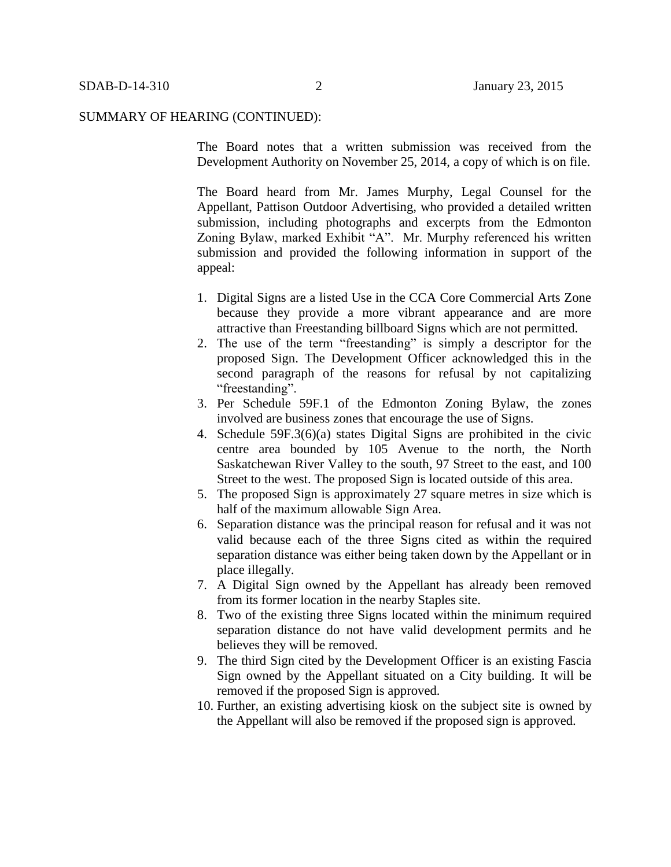The Board notes that a written submission was received from the Development Authority on November 25, 2014, a copy of which is on file.

The Board heard from Mr. James Murphy, Legal Counsel for the Appellant, Pattison Outdoor Advertising, who provided a detailed written submission, including photographs and excerpts from the Edmonton Zoning Bylaw, marked Exhibit "A". Mr. Murphy referenced his written submission and provided the following information in support of the appeal:

- 1. Digital Signs are a listed Use in the CCA Core Commercial Arts Zone because they provide a more vibrant appearance and are more attractive than Freestanding billboard Signs which are not permitted.
- 2. The use of the term "freestanding" is simply a descriptor for the proposed Sign. The Development Officer acknowledged this in the second paragraph of the reasons for refusal by not capitalizing "freestanding".
- 3. Per Schedule 59F.1 of the Edmonton Zoning Bylaw, the zones involved are business zones that encourage the use of Signs.
- 4. Schedule 59F.3(6)(a) states Digital Signs are prohibited in the civic centre area bounded by 105 Avenue to the north, the North Saskatchewan River Valley to the south, 97 Street to the east, and 100 Street to the west. The proposed Sign is located outside of this area.
- 5. The proposed Sign is approximately 27 square metres in size which is half of the maximum allowable Sign Area.
- 6. Separation distance was the principal reason for refusal and it was not valid because each of the three Signs cited as within the required separation distance was either being taken down by the Appellant or in place illegally.
- 7. A Digital Sign owned by the Appellant has already been removed from its former location in the nearby Staples site.
- 8. Two of the existing three Signs located within the minimum required separation distance do not have valid development permits and he believes they will be removed.
- 9. The third Sign cited by the Development Officer is an existing Fascia Sign owned by the Appellant situated on a City building. It will be removed if the proposed Sign is approved.
- 10. Further, an existing advertising kiosk on the subject site is owned by the Appellant will also be removed if the proposed sign is approved.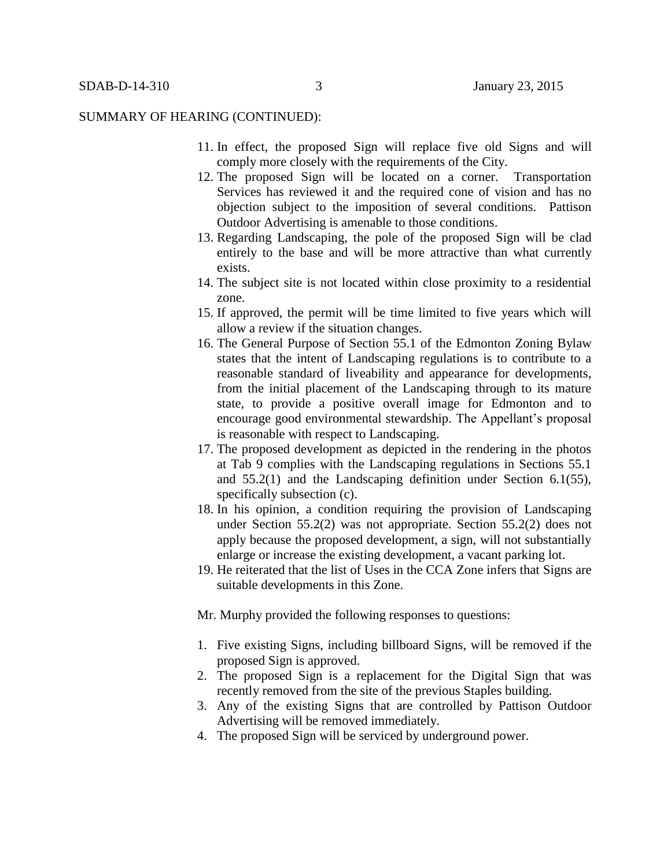- 11. In effect, the proposed Sign will replace five old Signs and will comply more closely with the requirements of the City.
- 12. The proposed Sign will be located on a corner. Transportation Services has reviewed it and the required cone of vision and has no objection subject to the imposition of several conditions. Pattison Outdoor Advertising is amenable to those conditions.
- 13. Regarding Landscaping, the pole of the proposed Sign will be clad entirely to the base and will be more attractive than what currently exists.
- 14. The subject site is not located within close proximity to a residential zone.
- 15. If approved, the permit will be time limited to five years which will allow a review if the situation changes.
- 16. The General Purpose of Section 55.1 of the Edmonton Zoning Bylaw states that the intent of Landscaping regulations is to contribute to a reasonable standard of liveability and appearance for developments, from the initial placement of the Landscaping through to its mature state, to provide a positive overall image for Edmonton and to encourage good environmental stewardship. The Appellant's proposal is reasonable with respect to Landscaping.
- 17. The proposed development as depicted in the rendering in the photos at Tab 9 complies with the Landscaping regulations in Sections 55.1 and 55.2(1) and the Landscaping definition under Section 6.1(55), specifically subsection (c).
- 18. In his opinion, a condition requiring the provision of Landscaping under Section 55.2(2) was not appropriate. Section 55.2(2) does not apply because the proposed development, a sign, will not substantially enlarge or increase the existing development, a vacant parking lot.
- 19. He reiterated that the list of Uses in the CCA Zone infers that Signs are suitable developments in this Zone.
- Mr. Murphy provided the following responses to questions:
- 1. Five existing Signs, including billboard Signs, will be removed if the proposed Sign is approved.
- 2. The proposed Sign is a replacement for the Digital Sign that was recently removed from the site of the previous Staples building.
- 3. Any of the existing Signs that are controlled by Pattison Outdoor Advertising will be removed immediately.
- 4. The proposed Sign will be serviced by underground power.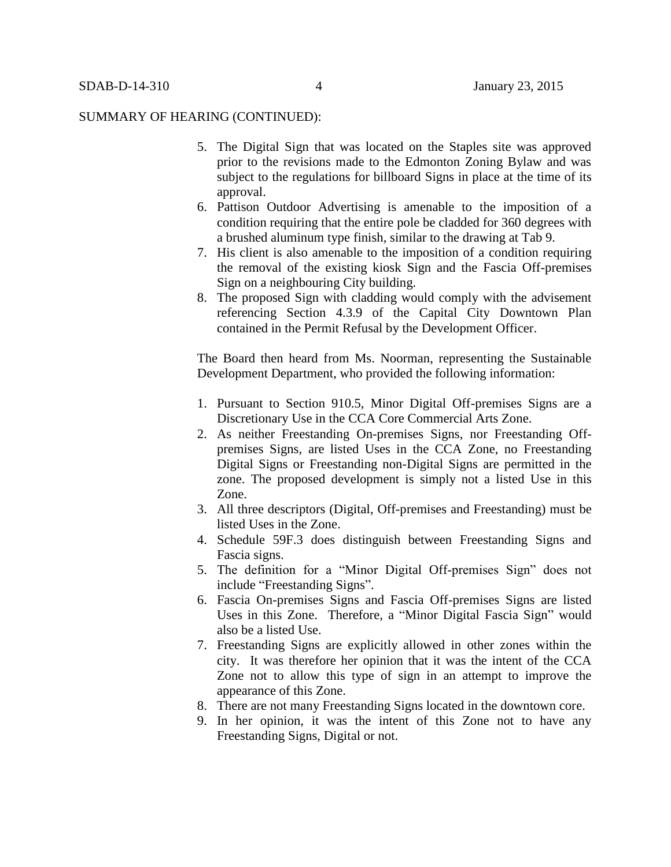- 5. The Digital Sign that was located on the Staples site was approved prior to the revisions made to the Edmonton Zoning Bylaw and was subject to the regulations for billboard Signs in place at the time of its approval.
- 6. Pattison Outdoor Advertising is amenable to the imposition of a condition requiring that the entire pole be cladded for 360 degrees with a brushed aluminum type finish, similar to the drawing at Tab 9.
- 7. His client is also amenable to the imposition of a condition requiring the removal of the existing kiosk Sign and the Fascia Off-premises Sign on a neighbouring City building.
- 8. The proposed Sign with cladding would comply with the advisement referencing Section 4.3.9 of the Capital City Downtown Plan contained in the Permit Refusal by the Development Officer.

The Board then heard from Ms. Noorman, representing the Sustainable Development Department, who provided the following information:

- 1. Pursuant to Section 910.5, Minor Digital Off-premises Signs are a Discretionary Use in the CCA Core Commercial Arts Zone.
- 2. As neither Freestanding On-premises Signs, nor Freestanding Offpremises Signs, are listed Uses in the CCA Zone, no Freestanding Digital Signs or Freestanding non-Digital Signs are permitted in the zone. The proposed development is simply not a listed Use in this Zone.
- 3. All three descriptors (Digital, Off-premises and Freestanding) must be listed Uses in the Zone.
- 4. Schedule 59F.3 does distinguish between Freestanding Signs and Fascia signs.
- 5. The definition for a "Minor Digital Off-premises Sign" does not include "Freestanding Signs".
- 6. Fascia On-premises Signs and Fascia Off-premises Signs are listed Uses in this Zone. Therefore, a "Minor Digital Fascia Sign" would also be a listed Use.
- 7. Freestanding Signs are explicitly allowed in other zones within the city. It was therefore her opinion that it was the intent of the CCA Zone not to allow this type of sign in an attempt to improve the appearance of this Zone.
- 8. There are not many Freestanding Signs located in the downtown core.
- 9. In her opinion, it was the intent of this Zone not to have any Freestanding Signs, Digital or not.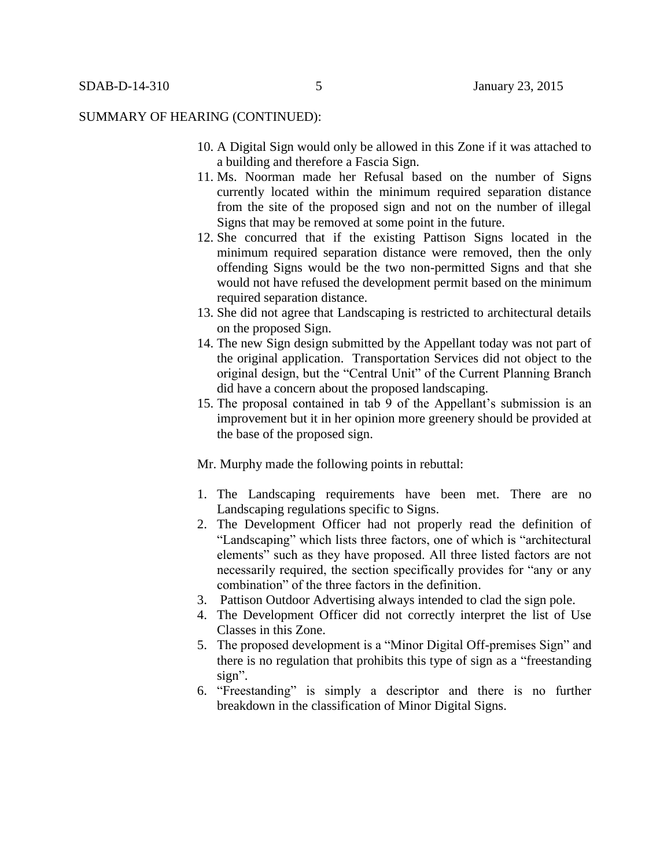- 10. A Digital Sign would only be allowed in this Zone if it was attached to a building and therefore a Fascia Sign.
- 11. Ms. Noorman made her Refusal based on the number of Signs currently located within the minimum required separation distance from the site of the proposed sign and not on the number of illegal Signs that may be removed at some point in the future.
- 12. She concurred that if the existing Pattison Signs located in the minimum required separation distance were removed, then the only offending Signs would be the two non-permitted Signs and that she would not have refused the development permit based on the minimum required separation distance.
- 13. She did not agree that Landscaping is restricted to architectural details on the proposed Sign.
- 14. The new Sign design submitted by the Appellant today was not part of the original application. Transportation Services did not object to the original design, but the "Central Unit" of the Current Planning Branch did have a concern about the proposed landscaping.
- 15. The proposal contained in tab 9 of the Appellant's submission is an improvement but it in her opinion more greenery should be provided at the base of the proposed sign.

Mr. Murphy made the following points in rebuttal:

- 1. The Landscaping requirements have been met. There are no Landscaping regulations specific to Signs.
- 2. The Development Officer had not properly read the definition of "Landscaping" which lists three factors, one of which is "architectural elements" such as they have proposed. All three listed factors are not necessarily required, the section specifically provides for "any or any combination" of the three factors in the definition.
- 3. Pattison Outdoor Advertising always intended to clad the sign pole.
- 4. The Development Officer did not correctly interpret the list of Use Classes in this Zone.
- 5. The proposed development is a "Minor Digital Off-premises Sign" and there is no regulation that prohibits this type of sign as a "freestanding sign".
- 6. "Freestanding" is simply a descriptor and there is no further breakdown in the classification of Minor Digital Signs.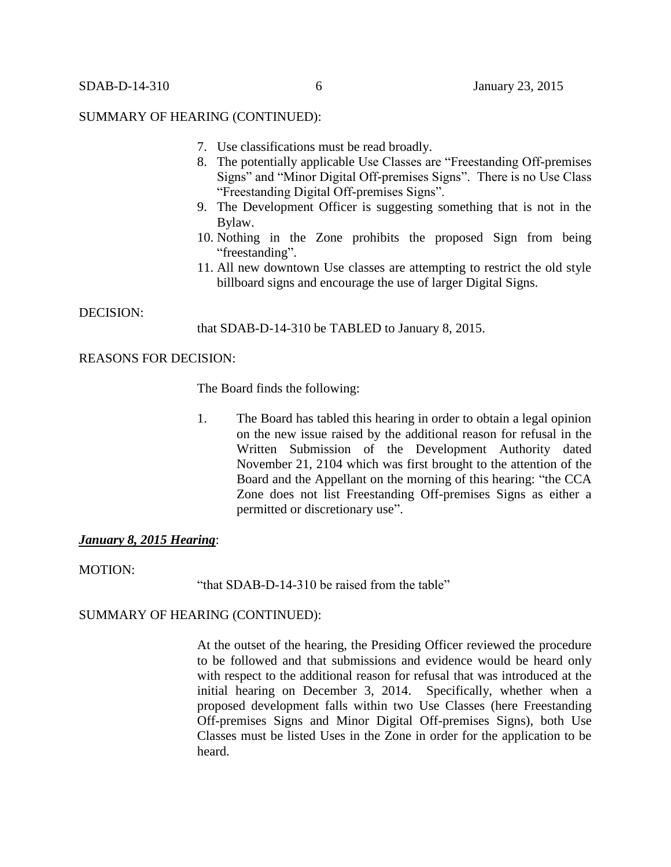- 7. Use classifications must be read broadly.
- 8. The potentially applicable Use Classes are "Freestanding Off-premises Signs" and "Minor Digital Off-premises Signs". There is no Use Class "Freestanding Digital Off-premises Signs".
- 9. The Development Officer is suggesting something that is not in the Bylaw.
- 10. Nothing in the Zone prohibits the proposed Sign from being "freestanding".
- 11. All new downtown Use classes are attempting to restrict the old style billboard signs and encourage the use of larger Digital Signs.

# DECISION:

that SDAB-D-14-310 be TABLED to January 8, 2015.

# REASONS FOR DECISION:

The Board finds the following:

1. The Board has tabled this hearing in order to obtain a legal opinion on the new issue raised by the additional reason for refusal in the Written Submission of the Development Authority dated November 21, 2104 which was first brought to the attention of the Board and the Appellant on the morning of this hearing: "the CCA Zone does not list Freestanding Off-premises Signs as either a permitted or discretionary use".

# *January 8, 2015 Hearing*:

MOTION:

"that SDAB-D-14-310 be raised from the table"

# SUMMARY OF HEARING (CONTINUED):

At the outset of the hearing, the Presiding Officer reviewed the procedure to be followed and that submissions and evidence would be heard only with respect to the additional reason for refusal that was introduced at the initial hearing on December 3, 2014. Specifically, whether when a proposed development falls within two Use Classes (here Freestanding Off-premises Signs and Minor Digital Off-premises Signs), both Use Classes must be listed Uses in the Zone in order for the application to be heard.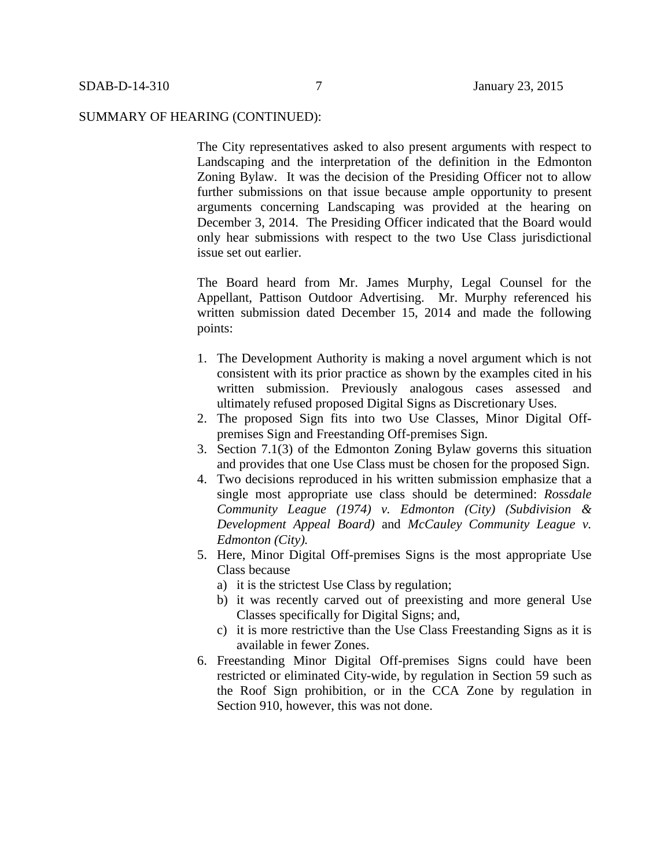The City representatives asked to also present arguments with respect to Landscaping and the interpretation of the definition in the Edmonton Zoning Bylaw. It was the decision of the Presiding Officer not to allow further submissions on that issue because ample opportunity to present arguments concerning Landscaping was provided at the hearing on December 3, 2014. The Presiding Officer indicated that the Board would only hear submissions with respect to the two Use Class jurisdictional issue set out earlier.

The Board heard from Mr. James Murphy, Legal Counsel for the Appellant, Pattison Outdoor Advertising. Mr. Murphy referenced his written submission dated December 15, 2014 and made the following points:

- 1. The Development Authority is making a novel argument which is not consistent with its prior practice as shown by the examples cited in his written submission. Previously analogous cases assessed and ultimately refused proposed Digital Signs as Discretionary Uses.
- 2. The proposed Sign fits into two Use Classes, Minor Digital Offpremises Sign and Freestanding Off-premises Sign.
- 3. Section 7.1(3) of the Edmonton Zoning Bylaw governs this situation and provides that one Use Class must be chosen for the proposed Sign.
- 4. Two decisions reproduced in his written submission emphasize that a single most appropriate use class should be determined: *Rossdale Community League (1974) v. Edmonton (City) (Subdivision & Development Appeal Board)* and *McCauley Community League v. Edmonton (City).*
- 5. Here, Minor Digital Off-premises Signs is the most appropriate Use Class because
	- a) it is the strictest Use Class by regulation;
	- b) it was recently carved out of preexisting and more general Use Classes specifically for Digital Signs; and,
	- c) it is more restrictive than the Use Class Freestanding Signs as it is available in fewer Zones.
- 6. Freestanding Minor Digital Off-premises Signs could have been restricted or eliminated City-wide, by regulation in Section 59 such as the Roof Sign prohibition, or in the CCA Zone by regulation in Section 910, however, this was not done.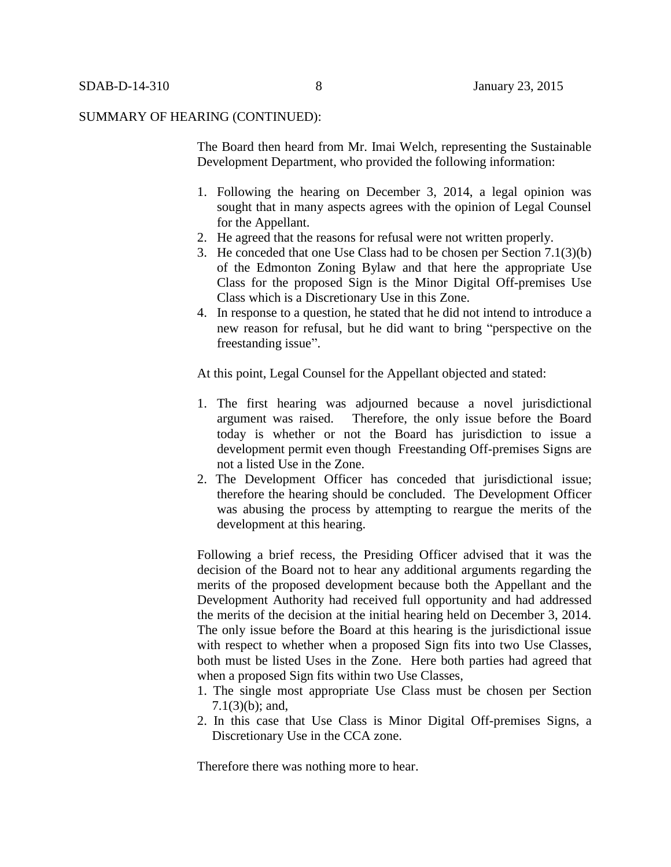The Board then heard from Mr. Imai Welch, representing the Sustainable Development Department, who provided the following information:

- 1. Following the hearing on December 3, 2014, a legal opinion was sought that in many aspects agrees with the opinion of Legal Counsel for the Appellant.
- 2. He agreed that the reasons for refusal were not written properly.
- 3. He conceded that one Use Class had to be chosen per Section 7.1(3)(b) of the Edmonton Zoning Bylaw and that here the appropriate Use Class for the proposed Sign is the Minor Digital Off-premises Use Class which is a Discretionary Use in this Zone.
- 4. In response to a question, he stated that he did not intend to introduce a new reason for refusal, but he did want to bring "perspective on the freestanding issue".

At this point, Legal Counsel for the Appellant objected and stated:

- 1. The first hearing was adjourned because a novel jurisdictional argument was raised. Therefore, the only issue before the Board today is whether or not the Board has jurisdiction to issue a development permit even though Freestanding Off-premises Signs are not a listed Use in the Zone.
- 2. The Development Officer has conceded that jurisdictional issue; therefore the hearing should be concluded. The Development Officer was abusing the process by attempting to reargue the merits of the development at this hearing.

Following a brief recess, the Presiding Officer advised that it was the decision of the Board not to hear any additional arguments regarding the merits of the proposed development because both the Appellant and the Development Authority had received full opportunity and had addressed the merits of the decision at the initial hearing held on December 3, 2014. The only issue before the Board at this hearing is the jurisdictional issue with respect to whether when a proposed Sign fits into two Use Classes, both must be listed Uses in the Zone. Here both parties had agreed that when a proposed Sign fits within two Use Classes,

- 1. The single most appropriate Use Class must be chosen per Section 7.1(3)(b); and,
- 2. In this case that Use Class is Minor Digital Off-premises Signs, a Discretionary Use in the CCA zone.

Therefore there was nothing more to hear.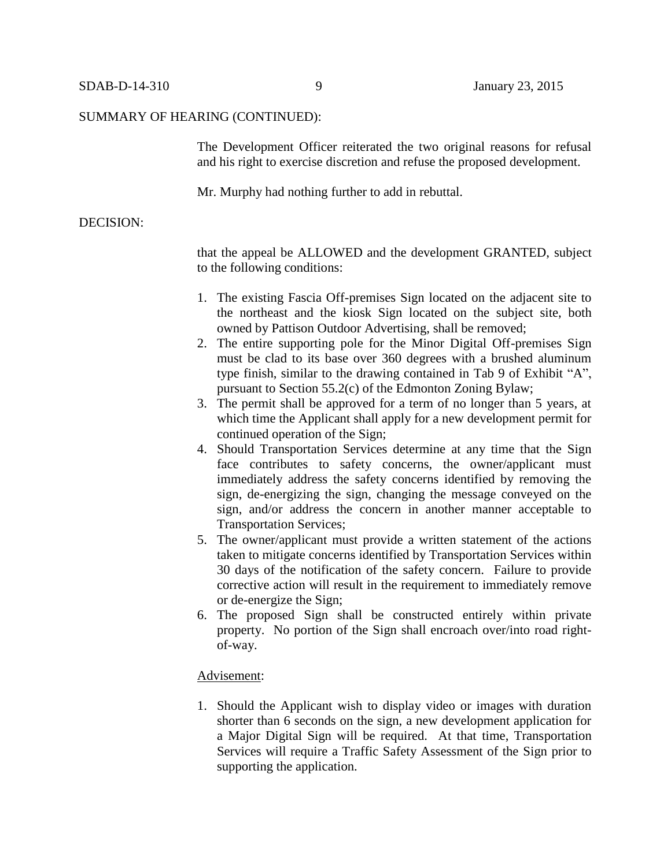The Development Officer reiterated the two original reasons for refusal and his right to exercise discretion and refuse the proposed development.

Mr. Murphy had nothing further to add in rebuttal.

# DECISION:

that the appeal be ALLOWED and the development GRANTED, subject to the following conditions:

- 1. The existing Fascia Off-premises Sign located on the adjacent site to the northeast and the kiosk Sign located on the subject site, both owned by Pattison Outdoor Advertising, shall be removed;
- 2. The entire supporting pole for the Minor Digital Off-premises Sign must be clad to its base over 360 degrees with a brushed aluminum type finish, similar to the drawing contained in Tab 9 of Exhibit "A", pursuant to Section 55.2(c) of the Edmonton Zoning Bylaw;
- 3. The permit shall be approved for a term of no longer than 5 years, at which time the Applicant shall apply for a new development permit for continued operation of the Sign;
- 4. Should Transportation Services determine at any time that the Sign face contributes to safety concerns, the owner/applicant must immediately address the safety concerns identified by removing the sign, de-energizing the sign, changing the message conveyed on the sign, and/or address the concern in another manner acceptable to Transportation Services;
- 5. The owner/applicant must provide a written statement of the actions taken to mitigate concerns identified by Transportation Services within 30 days of the notification of the safety concern. Failure to provide corrective action will result in the requirement to immediately remove or de-energize the Sign;
- 6. The proposed Sign shall be constructed entirely within private property. No portion of the Sign shall encroach over/into road rightof-way.

#### Advisement:

1. Should the Applicant wish to display video or images with duration shorter than 6 seconds on the sign, a new development application for a Major Digital Sign will be required. At that time, Transportation Services will require a Traffic Safety Assessment of the Sign prior to supporting the application.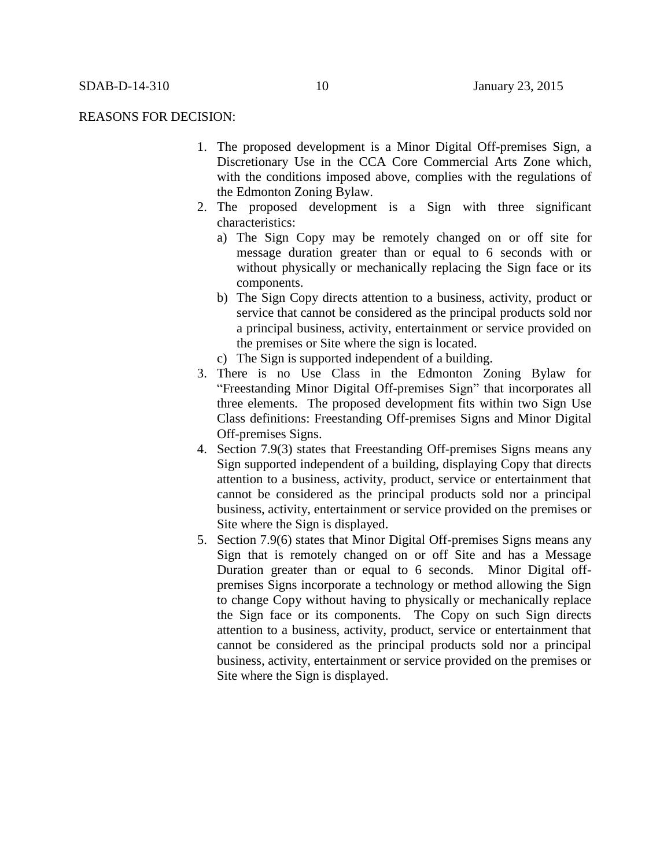#### REASONS FOR DECISION:

- 1. The proposed development is a Minor Digital Off-premises Sign, a Discretionary Use in the CCA Core Commercial Arts Zone which, with the conditions imposed above, complies with the regulations of the Edmonton Zoning Bylaw.
- 2. The proposed development is a Sign with three significant characteristics:
	- a) The Sign Copy may be remotely changed on or off site for message duration greater than or equal to 6 seconds with or without physically or mechanically replacing the Sign face or its components.
	- b) The Sign Copy directs attention to a business, activity, product or service that cannot be considered as the principal products sold nor a principal business, activity, entertainment or service provided on the premises or Site where the sign is located.
	- c) The Sign is supported independent of a building.
- 3. There is no Use Class in the Edmonton Zoning Bylaw for "Freestanding Minor Digital Off-premises Sign" that incorporates all three elements. The proposed development fits within two Sign Use Class definitions: Freestanding Off-premises Signs and Minor Digital Off-premises Signs.
- 4. Section 7.9(3) states that Freestanding Off-premises Signs means any Sign supported independent of a building, displaying Copy that directs attention to a business, activity, product, service or entertainment that cannot be considered as the principal products sold nor a principal business, activity, entertainment or service provided on the premises or Site where the Sign is displayed.
- 5. Section 7.9(6) states that Minor Digital Off-premises Signs means any Sign that is remotely changed on or off Site and has a Message Duration greater than or equal to 6 seconds. Minor Digital offpremises Signs incorporate a technology or method allowing the Sign to change Copy without having to physically or mechanically replace the Sign face or its components. The Copy on such Sign directs attention to a business, activity, product, service or entertainment that cannot be considered as the principal products sold nor a principal business, activity, entertainment or service provided on the premises or Site where the Sign is displayed.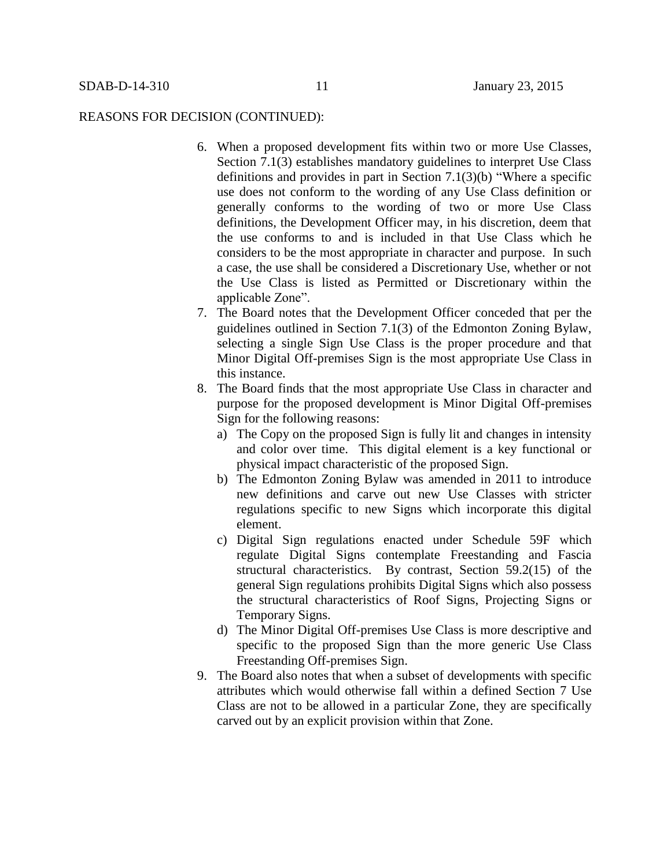## REASONS FOR DECISION (CONTINUED):

- 6. When a proposed development fits within two or more Use Classes, Section 7.1(3) establishes mandatory guidelines to interpret Use Class definitions and provides in part in Section 7.1(3)(b) "Where a specific use does not conform to the wording of any Use Class definition or generally conforms to the wording of two or more Use Class definitions, the Development Officer may, in his discretion, deem that the use conforms to and is included in that Use Class which he considers to be the most appropriate in character and purpose. In such a case, the use shall be considered a Discretionary Use, whether or not the Use Class is listed as Permitted or Discretionary within the applicable Zone".
- 7. The Board notes that the Development Officer conceded that per the guidelines outlined in Section 7.1(3) of the Edmonton Zoning Bylaw, selecting a single Sign Use Class is the proper procedure and that Minor Digital Off-premises Sign is the most appropriate Use Class in this instance.
- 8. The Board finds that the most appropriate Use Class in character and purpose for the proposed development is Minor Digital Off-premises Sign for the following reasons:
	- a) The Copy on the proposed Sign is fully lit and changes in intensity and color over time. This digital element is a key functional or physical impact characteristic of the proposed Sign.
	- b) The Edmonton Zoning Bylaw was amended in 2011 to introduce new definitions and carve out new Use Classes with stricter regulations specific to new Signs which incorporate this digital element.
	- c) Digital Sign regulations enacted under Schedule 59F which regulate Digital Signs contemplate Freestanding and Fascia structural characteristics. By contrast, Section 59.2(15) of the general Sign regulations prohibits Digital Signs which also possess the structural characteristics of Roof Signs, Projecting Signs or Temporary Signs.
	- d) The Minor Digital Off-premises Use Class is more descriptive and specific to the proposed Sign than the more generic Use Class Freestanding Off-premises Sign.
- 9. The Board also notes that when a subset of developments with specific attributes which would otherwise fall within a defined Section 7 Use Class are not to be allowed in a particular Zone, they are specifically carved out by an explicit provision within that Zone.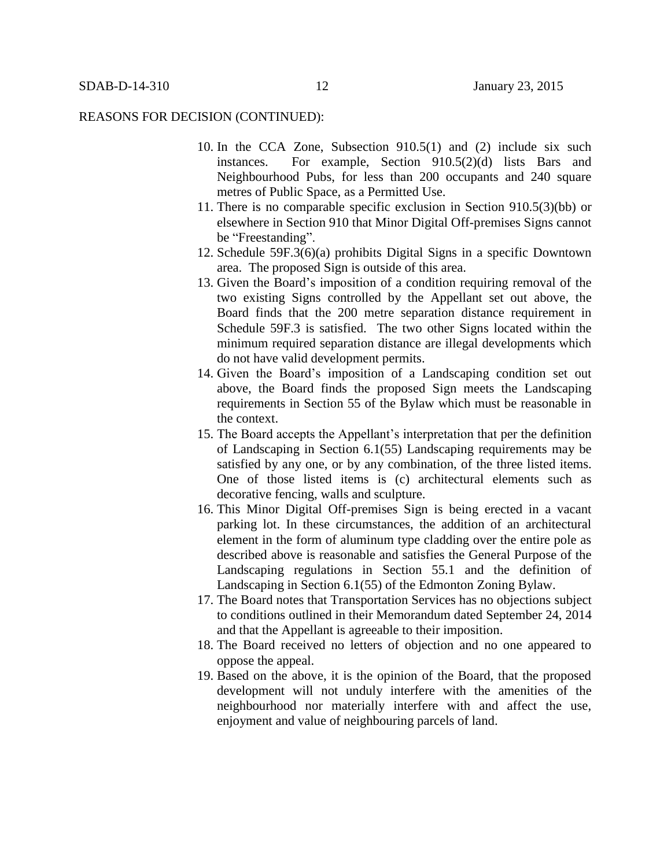### REASONS FOR DECISION (CONTINUED):

- 10. In the CCA Zone, Subsection 910.5(1) and (2) include six such instances. For example, Section 910.5(2)(d) lists Bars and Neighbourhood Pubs, for less than 200 occupants and 240 square metres of Public Space, as a Permitted Use.
- 11. There is no comparable specific exclusion in Section 910.5(3)(bb) or elsewhere in Section 910 that Minor Digital Off-premises Signs cannot be "Freestanding".
- 12. Schedule 59F.3(6)(a) prohibits Digital Signs in a specific Downtown area. The proposed Sign is outside of this area.
- 13. Given the Board's imposition of a condition requiring removal of the two existing Signs controlled by the Appellant set out above, the Board finds that the 200 metre separation distance requirement in Schedule 59F.3 is satisfied. The two other Signs located within the minimum required separation distance are illegal developments which do not have valid development permits.
- 14. Given the Board's imposition of a Landscaping condition set out above, the Board finds the proposed Sign meets the Landscaping requirements in Section 55 of the Bylaw which must be reasonable in the context.
- 15. The Board accepts the Appellant's interpretation that per the definition of Landscaping in Section 6.1(55) Landscaping requirements may be satisfied by any one, or by any combination, of the three listed items. One of those listed items is (c) architectural elements such as decorative fencing, walls and sculpture.
- 16. This Minor Digital Off-premises Sign is being erected in a vacant parking lot. In these circumstances, the addition of an architectural element in the form of aluminum type cladding over the entire pole as described above is reasonable and satisfies the General Purpose of the Landscaping regulations in Section 55.1 and the definition of Landscaping in Section 6.1(55) of the Edmonton Zoning Bylaw.
- 17. The Board notes that Transportation Services has no objections subject to conditions outlined in their Memorandum dated September 24, 2014 and that the Appellant is agreeable to their imposition.
- 18. The Board received no letters of objection and no one appeared to oppose the appeal.
- 19. Based on the above, it is the opinion of the Board, that the proposed development will not unduly interfere with the amenities of the neighbourhood nor materially interfere with and affect the use, enjoyment and value of neighbouring parcels of land.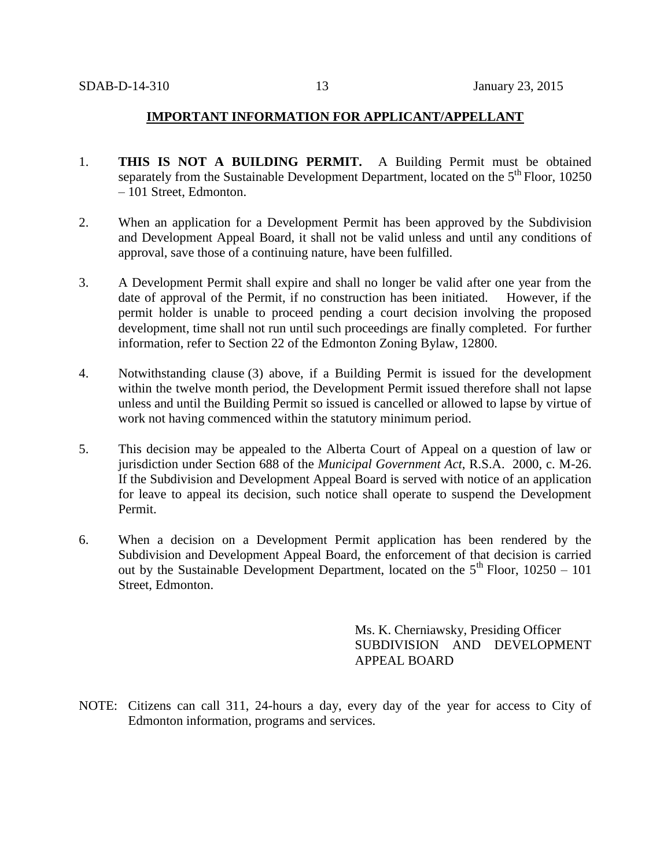# **IMPORTANT INFORMATION FOR APPLICANT/APPELLANT**

- 1. **THIS IS NOT A BUILDING PERMIT.** A Building Permit must be obtained separately from the Sustainable Development Department, located on the  $5<sup>th</sup>$  Floor, 10250 – 101 Street, Edmonton.
- 2. When an application for a Development Permit has been approved by the Subdivision and Development Appeal Board, it shall not be valid unless and until any conditions of approval, save those of a continuing nature, have been fulfilled.
- 3. A Development Permit shall expire and shall no longer be valid after one year from the date of approval of the Permit, if no construction has been initiated. However, if the permit holder is unable to proceed pending a court decision involving the proposed development, time shall not run until such proceedings are finally completed. For further information, refer to Section 22 of the Edmonton Zoning Bylaw, 12800.
- 4. Notwithstanding clause (3) above, if a Building Permit is issued for the development within the twelve month period, the Development Permit issued therefore shall not lapse unless and until the Building Permit so issued is cancelled or allowed to lapse by virtue of work not having commenced within the statutory minimum period.
- 5. This decision may be appealed to the Alberta Court of Appeal on a question of law or jurisdiction under Section 688 of the *Municipal Government Act*, R.S.A. 2000, c. M-26. If the Subdivision and Development Appeal Board is served with notice of an application for leave to appeal its decision, such notice shall operate to suspend the Development Permit.
- 6. When a decision on a Development Permit application has been rendered by the Subdivision and Development Appeal Board, the enforcement of that decision is carried out by the Sustainable Development Department, located on the  $5<sup>th</sup>$  Floor, 10250 – 101 Street, Edmonton.

Ms. K. Cherniawsky, Presiding Officer SUBDIVISION AND DEVELOPMENT APPEAL BOARD

NOTE: Citizens can call 311, 24-hours a day, every day of the year for access to City of Edmonton information, programs and services.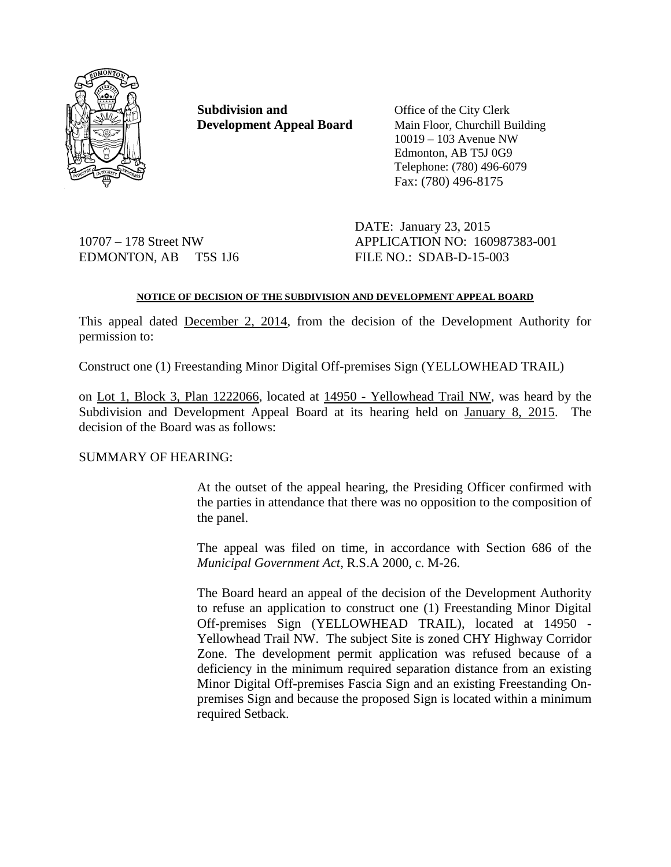

**Subdivision and** Office of the City Clerk **Development Appeal Board** Main Floor, Churchill Building

10019 – 103 Avenue NW Edmonton, AB T5J 0G9 Telephone: (780) 496-6079 Fax: (780) 496-8175

EDMONTON, AB T5S 1J6 FILE NO.: SDAB-D-15-003

DATE: January 23, 2015 10707 – 178 Street NW APPLICATION NO: 160987383-001

# **NOTICE OF DECISION OF THE SUBDIVISION AND DEVELOPMENT APPEAL BOARD**

This appeal dated December 2, 2014, from the decision of the Development Authority for permission to:

Construct one (1) Freestanding Minor Digital Off-premises Sign (YELLOWHEAD TRAIL)

on Lot 1, Block 3, Plan 1222066, located at 14950 - Yellowhead Trail NW, was heard by the Subdivision and Development Appeal Board at its hearing held on January 8, 2015. The decision of the Board was as follows:

# SUMMARY OF HEARING:

At the outset of the appeal hearing, the Presiding Officer confirmed with the parties in attendance that there was no opposition to the composition of the panel.

The appeal was filed on time, in accordance with Section 686 of the *Municipal Government Act*, R.S.A 2000, c. M-26.

The Board heard an appeal of the decision of the Development Authority to refuse an application to construct one (1) Freestanding Minor Digital Off-premises Sign (YELLOWHEAD TRAIL), located at 14950 - Yellowhead Trail NW. The subject Site is zoned CHY Highway Corridor Zone. The development permit application was refused because of a deficiency in the minimum required separation distance from an existing Minor Digital Off-premises Fascia Sign and an existing Freestanding Onpremises Sign and because the proposed Sign is located within a minimum required Setback.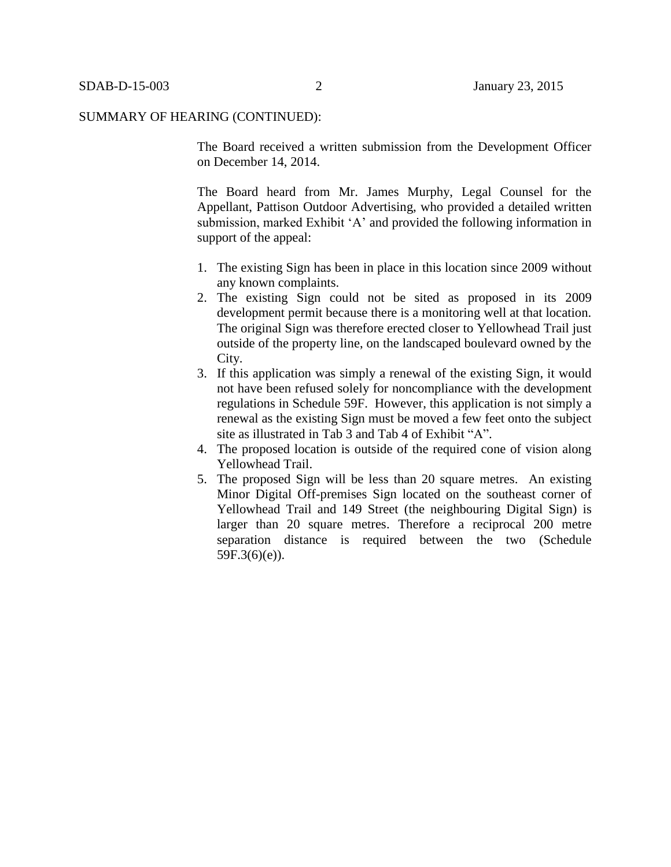The Board received a written submission from the Development Officer on December 14, 2014.

The Board heard from Mr. James Murphy, Legal Counsel for the Appellant, Pattison Outdoor Advertising, who provided a detailed written submission, marked Exhibit 'A' and provided the following information in support of the appeal:

- 1. The existing Sign has been in place in this location since 2009 without any known complaints.
- 2. The existing Sign could not be sited as proposed in its 2009 development permit because there is a monitoring well at that location. The original Sign was therefore erected closer to Yellowhead Trail just outside of the property line, on the landscaped boulevard owned by the City.
- 3. If this application was simply a renewal of the existing Sign, it would not have been refused solely for noncompliance with the development regulations in Schedule 59F. However, this application is not simply a renewal as the existing Sign must be moved a few feet onto the subject site as illustrated in Tab 3 and Tab 4 of Exhibit "A".
- 4. The proposed location is outside of the required cone of vision along Yellowhead Trail.
- 5. The proposed Sign will be less than 20 square metres. An existing Minor Digital Off-premises Sign located on the southeast corner of Yellowhead Trail and 149 Street (the neighbouring Digital Sign) is larger than 20 square metres. Therefore a reciprocal 200 metre separation distance is required between the two (Schedule  $59F.3(6)(e)$ ).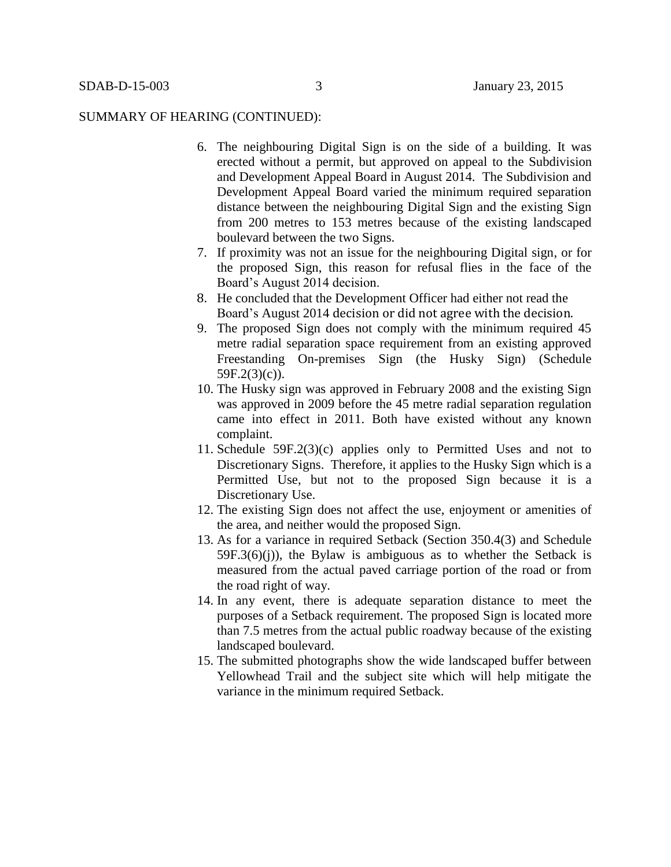- 6. The neighbouring Digital Sign is on the side of a building. It was erected without a permit, but approved on appeal to the Subdivision and Development Appeal Board in August 2014. The Subdivision and Development Appeal Board varied the minimum required separation distance between the neighbouring Digital Sign and the existing Sign from 200 metres to 153 metres because of the existing landscaped boulevard between the two Signs.
- 7. If proximity was not an issue for the neighbouring Digital sign, or for the proposed Sign, this reason for refusal flies in the face of the Board's August 2014 decision.
- 8. He concluded that the Development Officer had either not read the Board's August 2014 decision or did not agree with the decision.
- 9. The proposed Sign does not comply with the minimum required 45 metre radial separation space requirement from an existing approved Freestanding On-premises Sign (the Husky Sign) (Schedule 59F.2(3)(c)).
- 10. The Husky sign was approved in February 2008 and the existing Sign was approved in 2009 before the 45 metre radial separation regulation came into effect in 2011. Both have existed without any known complaint.
- 11. Schedule 59F.2(3)(c) applies only to Permitted Uses and not to Discretionary Signs. Therefore, it applies to the Husky Sign which is a Permitted Use, but not to the proposed Sign because it is a Discretionary Use.
- 12. The existing Sign does not affect the use, enjoyment or amenities of the area, and neither would the proposed Sign.
- 13. As for a variance in required Setback (Section 350.4(3) and Schedule  $59F.3(6)(i)$ , the Bylaw is ambiguous as to whether the Setback is measured from the actual paved carriage portion of the road or from the road right of way.
- 14. In any event, there is adequate separation distance to meet the purposes of a Setback requirement. The proposed Sign is located more than 7.5 metres from the actual public roadway because of the existing landscaped boulevard.
- 15. The submitted photographs show the wide landscaped buffer between Yellowhead Trail and the subject site which will help mitigate the variance in the minimum required Setback.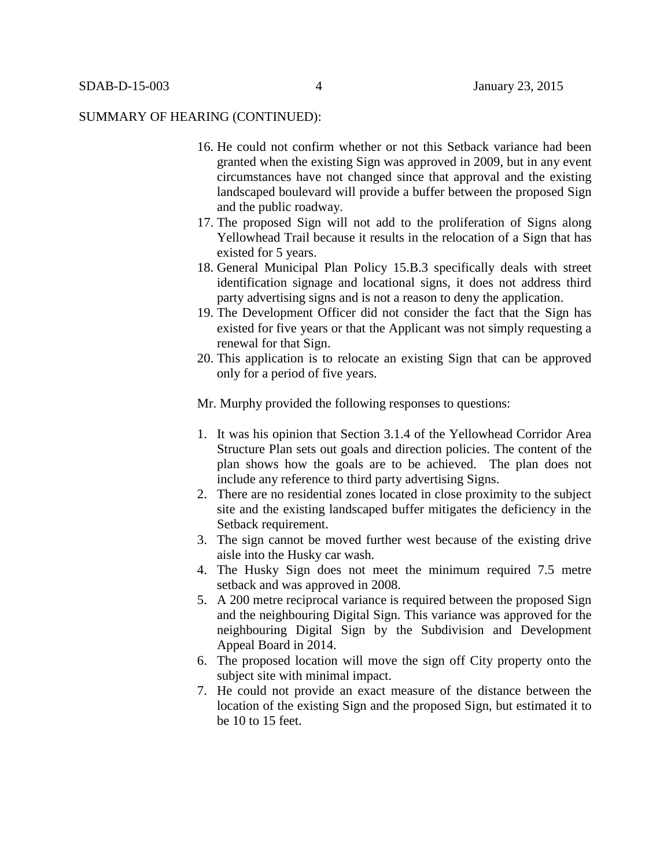- 16. He could not confirm whether or not this Setback variance had been granted when the existing Sign was approved in 2009, but in any event circumstances have not changed since that approval and the existing landscaped boulevard will provide a buffer between the proposed Sign and the public roadway.
- 17. The proposed Sign will not add to the proliferation of Signs along Yellowhead Trail because it results in the relocation of a Sign that has existed for 5 years.
- 18. General Municipal Plan Policy 15.B.3 specifically deals with street identification signage and locational signs, it does not address third party advertising signs and is not a reason to deny the application.
- 19. The Development Officer did not consider the fact that the Sign has existed for five years or that the Applicant was not simply requesting a renewal for that Sign.
- 20. This application is to relocate an existing Sign that can be approved only for a period of five years.

Mr. Murphy provided the following responses to questions:

- 1. It was his opinion that Section 3.1.4 of the Yellowhead Corridor Area Structure Plan sets out goals and direction policies. The content of the plan shows how the goals are to be achieved. The plan does not include any reference to third party advertising Signs.
- 2. There are no residential zones located in close proximity to the subject site and the existing landscaped buffer mitigates the deficiency in the Setback requirement.
- 3. The sign cannot be moved further west because of the existing drive aisle into the Husky car wash.
- 4. The Husky Sign does not meet the minimum required 7.5 metre setback and was approved in 2008.
- 5. A 200 metre reciprocal variance is required between the proposed Sign and the neighbouring Digital Sign. This variance was approved for the neighbouring Digital Sign by the Subdivision and Development Appeal Board in 2014.
- 6. The proposed location will move the sign off City property onto the subject site with minimal impact.
- 7. He could not provide an exact measure of the distance between the location of the existing Sign and the proposed Sign, but estimated it to be 10 to 15 feet.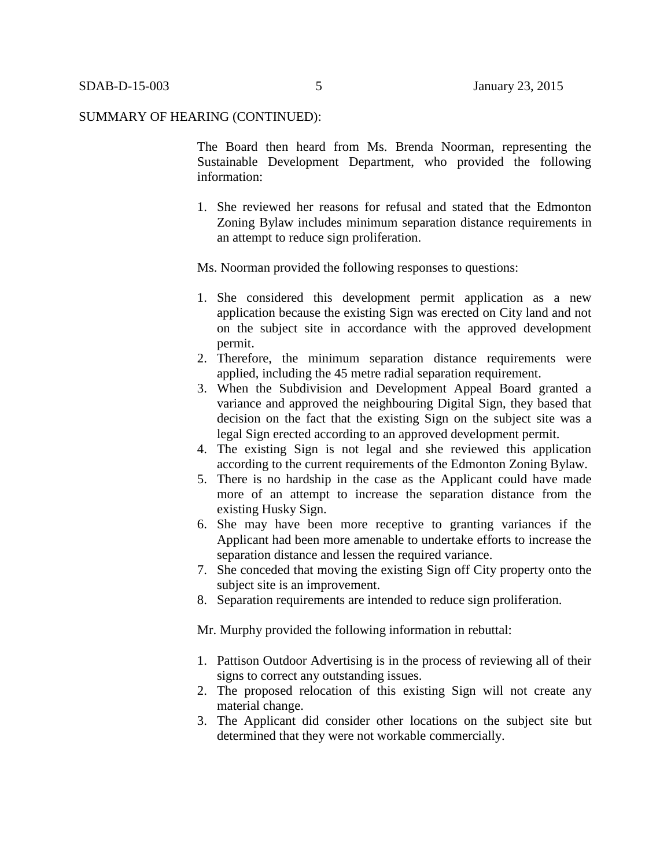The Board then heard from Ms. Brenda Noorman, representing the Sustainable Development Department, who provided the following information:

1. She reviewed her reasons for refusal and stated that the Edmonton Zoning Bylaw includes minimum separation distance requirements in an attempt to reduce sign proliferation.

Ms. Noorman provided the following responses to questions:

- 1. She considered this development permit application as a new application because the existing Sign was erected on City land and not on the subject site in accordance with the approved development permit.
- 2. Therefore, the minimum separation distance requirements were applied, including the 45 metre radial separation requirement.
- 3. When the Subdivision and Development Appeal Board granted a variance and approved the neighbouring Digital Sign, they based that decision on the fact that the existing Sign on the subject site was a legal Sign erected according to an approved development permit.
- 4. The existing Sign is not legal and she reviewed this application according to the current requirements of the Edmonton Zoning Bylaw.
- 5. There is no hardship in the case as the Applicant could have made more of an attempt to increase the separation distance from the existing Husky Sign.
- 6. She may have been more receptive to granting variances if the Applicant had been more amenable to undertake efforts to increase the separation distance and lessen the required variance.
- 7. She conceded that moving the existing Sign off City property onto the subject site is an improvement.
- 8. Separation requirements are intended to reduce sign proliferation.

Mr. Murphy provided the following information in rebuttal:

- 1. Pattison Outdoor Advertising is in the process of reviewing all of their signs to correct any outstanding issues.
- 2. The proposed relocation of this existing Sign will not create any material change.
- 3. The Applicant did consider other locations on the subject site but determined that they were not workable commercially.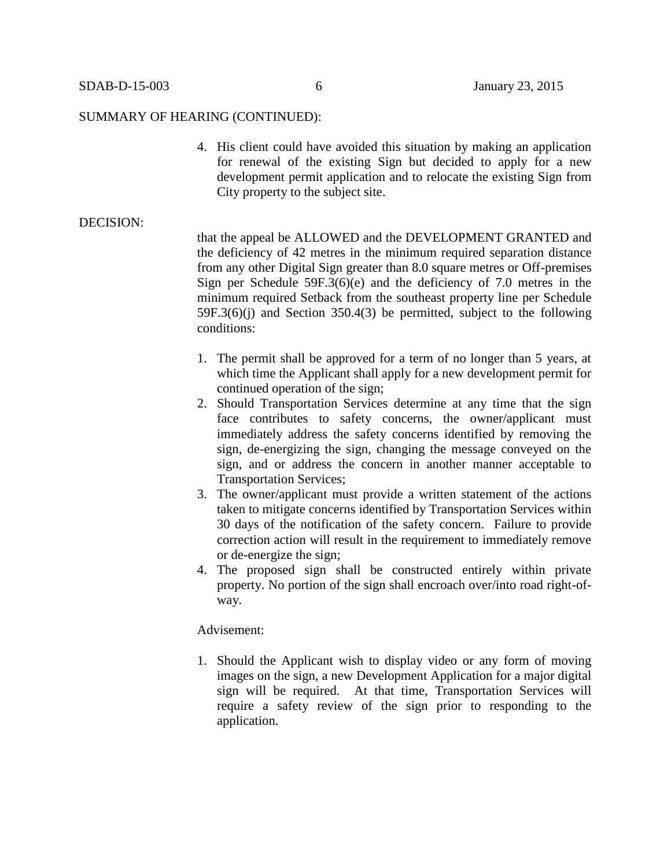4. His client could have avoided this situation by making an application for renewal of the existing Sign but decided to apply for a new development permit application and to relocate the existing Sign from City property to the subject site.

# DECISION:

that the appeal be ALLOWED and the DEVELOPMENT GRANTED and the deficiency of 42 metres in the minimum required separation distance from any other Digital Sign greater than 8.0 square metres or Off-premises Sign per Schedule 59F.3(6)(e) and the deficiency of 7.0 metres in the minimum required Setback from the southeast property line per Schedule 59F.3(6)(j) and Section 350.4(3) be permitted, subject to the following conditions:

- 1. The permit shall be approved for a term of no longer than 5 years, at which time the Applicant shall apply for a new development permit for continued operation of the sign;
- 2. Should Transportation Services determine at any time that the sign face contributes to safety concerns, the owner/applicant must immediately address the safety concerns identified by removing the sign, de-energizing the sign, changing the message conveyed on the sign, and or address the concern in another manner acceptable to Transportation Services;
- 3. The owner/applicant must provide a written statement of the actions taken to mitigate concerns identified by Transportation Services within 30 days of the notification of the safety concern. Failure to provide correction action will result in the requirement to immediately remove or de-energize the sign;
- 4. The proposed sign shall be constructed entirely within private property. No portion of the sign shall encroach over/into road right-ofway.

#### Advisement:

1. Should the Applicant wish to display video or any form of moving images on the sign, a new Development Application for a major digital sign will be required. At that time, Transportation Services will require a safety review of the sign prior to responding to the application.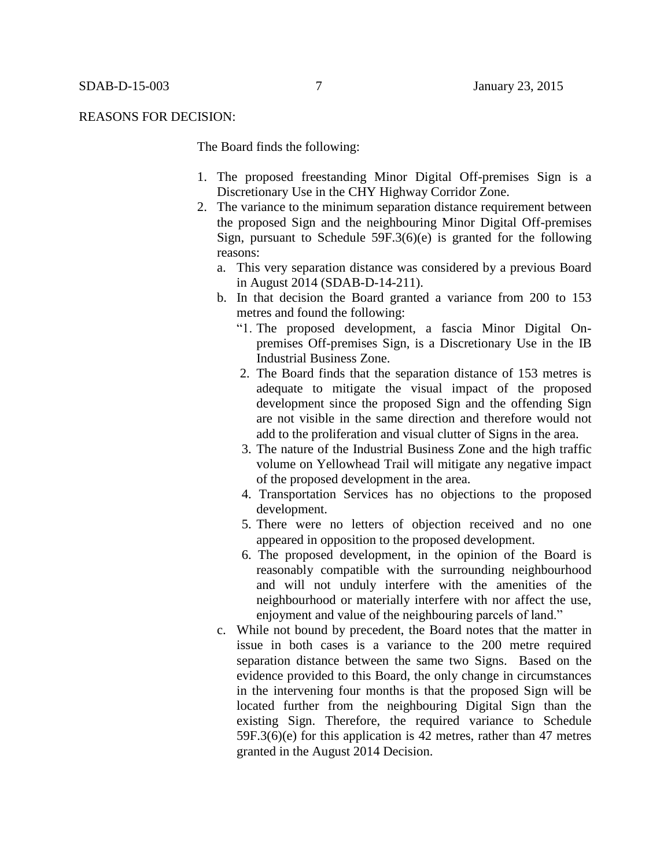#### REASONS FOR DECISION:

The Board finds the following:

- 1. The proposed freestanding Minor Digital Off-premises Sign is a Discretionary Use in the CHY Highway Corridor Zone.
- 2. The variance to the minimum separation distance requirement between the proposed Sign and the neighbouring Minor Digital Off-premises Sign, pursuant to Schedule  $59F.3(6)(e)$  is granted for the following reasons:
	- a. This very separation distance was considered by a previous Board in August 2014 (SDAB-D-14-211).
	- b. In that decision the Board granted a variance from 200 to 153 metres and found the following:
		- "1. The proposed development, a fascia Minor Digital Onpremises Off-premises Sign, is a Discretionary Use in the IB Industrial Business Zone.
		- 2. The Board finds that the separation distance of 153 metres is adequate to mitigate the visual impact of the proposed development since the proposed Sign and the offending Sign are not visible in the same direction and therefore would not add to the proliferation and visual clutter of Signs in the area.
		- 3. The nature of the Industrial Business Zone and the high traffic volume on Yellowhead Trail will mitigate any negative impact of the proposed development in the area.
		- 4. Transportation Services has no objections to the proposed development.
		- 5. There were no letters of objection received and no one appeared in opposition to the proposed development.
		- 6. The proposed development, in the opinion of the Board is reasonably compatible with the surrounding neighbourhood and will not unduly interfere with the amenities of the neighbourhood or materially interfere with nor affect the use, enjoyment and value of the neighbouring parcels of land."
	- c. While not bound by precedent, the Board notes that the matter in issue in both cases is a variance to the 200 metre required separation distance between the same two Signs. Based on the evidence provided to this Board, the only change in circumstances in the intervening four months is that the proposed Sign will be located further from the neighbouring Digital Sign than the existing Sign. Therefore, the required variance to Schedule 59F.3(6)(e) for this application is 42 metres, rather than 47 metres granted in the August 2014 Decision.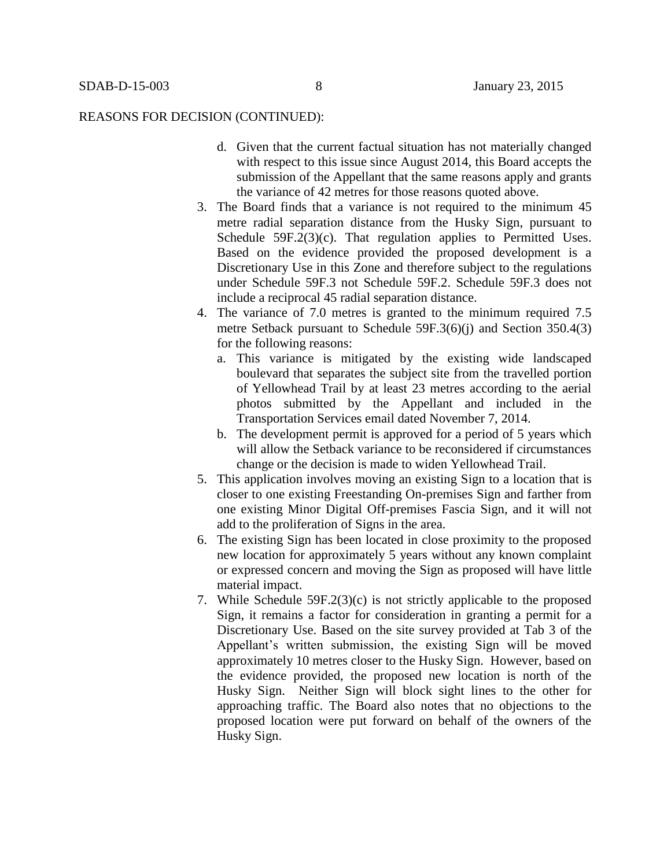## REASONS FOR DECISION (CONTINUED):

- d. Given that the current factual situation has not materially changed with respect to this issue since August 2014, this Board accepts the submission of the Appellant that the same reasons apply and grants the variance of 42 metres for those reasons quoted above.
- 3. The Board finds that a variance is not required to the minimum 45 metre radial separation distance from the Husky Sign, pursuant to Schedule 59F.2(3)(c). That regulation applies to Permitted Uses. Based on the evidence provided the proposed development is a Discretionary Use in this Zone and therefore subject to the regulations under Schedule 59F.3 not Schedule 59F.2. Schedule 59F.3 does not include a reciprocal 45 radial separation distance.
- 4. The variance of 7.0 metres is granted to the minimum required 7.5 metre Setback pursuant to Schedule 59F.3(6)(j) and Section 350.4(3) for the following reasons:
	- a. This variance is mitigated by the existing wide landscaped boulevard that separates the subject site from the travelled portion of Yellowhead Trail by at least 23 metres according to the aerial photos submitted by the Appellant and included in the Transportation Services email dated November 7, 2014.
	- b. The development permit is approved for a period of 5 years which will allow the Setback variance to be reconsidered if circumstances change or the decision is made to widen Yellowhead Trail.
- 5. This application involves moving an existing Sign to a location that is closer to one existing Freestanding On-premises Sign and farther from one existing Minor Digital Off-premises Fascia Sign, and it will not add to the proliferation of Signs in the area.
- 6. The existing Sign has been located in close proximity to the proposed new location for approximately 5 years without any known complaint or expressed concern and moving the Sign as proposed will have little material impact.
- 7. While Schedule 59F.2(3)(c) is not strictly applicable to the proposed Sign, it remains a factor for consideration in granting a permit for a Discretionary Use. Based on the site survey provided at Tab 3 of the Appellant's written submission, the existing Sign will be moved approximately 10 metres closer to the Husky Sign. However, based on the evidence provided, the proposed new location is north of the Husky Sign. Neither Sign will block sight lines to the other for approaching traffic. The Board also notes that no objections to the proposed location were put forward on behalf of the owners of the Husky Sign.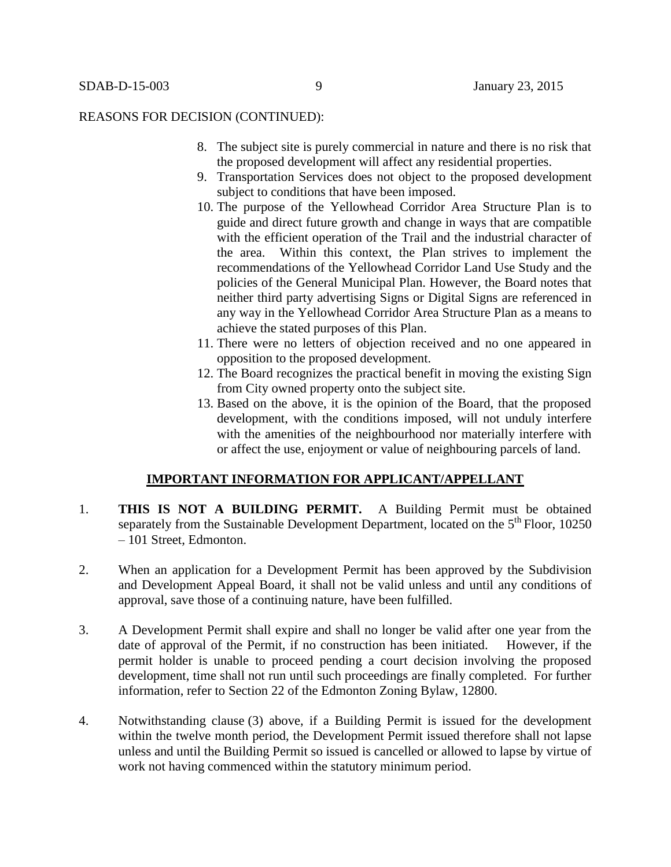#### REASONS FOR DECISION (CONTINUED):

- 8. The subject site is purely commercial in nature and there is no risk that the proposed development will affect any residential properties.
- 9. Transportation Services does not object to the proposed development subject to conditions that have been imposed.
- 10. The purpose of the Yellowhead Corridor Area Structure Plan is to guide and direct future growth and change in ways that are compatible with the efficient operation of the Trail and the industrial character of the area. Within this context, the Plan strives to implement the recommendations of the Yellowhead Corridor Land Use Study and the policies of the General Municipal Plan. However, the Board notes that neither third party advertising Signs or Digital Signs are referenced in any way in the Yellowhead Corridor Area Structure Plan as a means to achieve the stated purposes of this Plan.
- 11. There were no letters of objection received and no one appeared in opposition to the proposed development.
- 12. The Board recognizes the practical benefit in moving the existing Sign from City owned property onto the subject site.
- 13. Based on the above, it is the opinion of the Board, that the proposed development, with the conditions imposed, will not unduly interfere with the amenities of the neighbourhood nor materially interfere with or affect the use, enjoyment or value of neighbouring parcels of land.

# **IMPORTANT INFORMATION FOR APPLICANT/APPELLANT**

- 1. **THIS IS NOT A BUILDING PERMIT.** A Building Permit must be obtained separately from the Sustainable Development Department, located on the  $5<sup>th</sup>$  Floor, 10250 – 101 Street, Edmonton.
- 2. When an application for a Development Permit has been approved by the Subdivision and Development Appeal Board, it shall not be valid unless and until any conditions of approval, save those of a continuing nature, have been fulfilled.
- 3. A Development Permit shall expire and shall no longer be valid after one year from the date of approval of the Permit, if no construction has been initiated. However, if the permit holder is unable to proceed pending a court decision involving the proposed development, time shall not run until such proceedings are finally completed. For further information, refer to Section 22 of the Edmonton Zoning Bylaw, 12800.
- 4. Notwithstanding clause (3) above, if a Building Permit is issued for the development within the twelve month period, the Development Permit issued therefore shall not lapse unless and until the Building Permit so issued is cancelled or allowed to lapse by virtue of work not having commenced within the statutory minimum period.